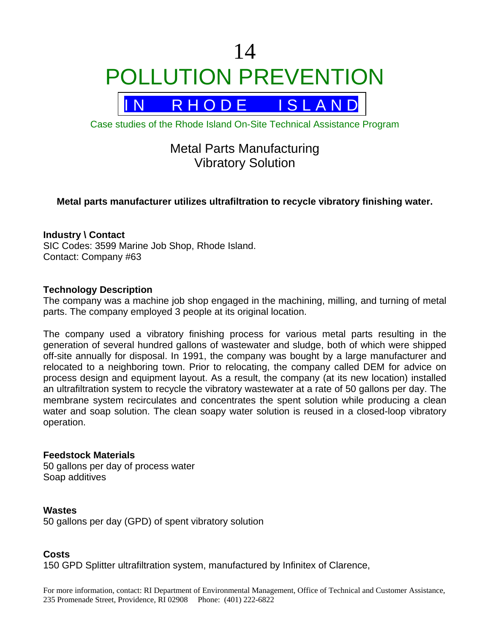# 14 POLLUTION PREVENTION



Case studies of the Rhode Island On-Site Technical Assistance Program

## Metal Parts Manufacturing Vibratory Solution

### **Metal parts manufacturer utilizes ultrafiltration to recycle vibratory finishing water.**

#### **Industry \ Contact**

SIC Codes: 3599 Marine Job Shop, Rhode Island. Contact: Company #63

#### **Technology Description**

The company was a machine job shop engaged in the machining, milling, and turning of metal parts. The company employed 3 people at its original location.

The company used a vibratory finishing process for various metal parts resulting in the generation of several hundred gallons of wastewater and sludge, both of which were shipped off-site annually for disposal. In 1991, the company was bought by a large manufacturer and relocated to a neighboring town. Prior to relocating, the company called DEM for advice on process design and equipment layout. As a result, the company (at its new location) installed an ultrafiltration system to recycle the vibratory wastewater at a rate of 50 gallons per day. The membrane system recirculates and concentrates the spent solution while producing a clean water and soap solution. The clean soapy water solution is reused in a closed-loop vibratory operation.

#### **Feedstock Materials**

50 gallons per day of process water Soap additives

#### **Wastes**

50 gallons per day (GPD) of spent vibratory solution

#### **Costs**

150 GPD Splitter ultrafiltration system, manufactured by Infinitex of Clarence,